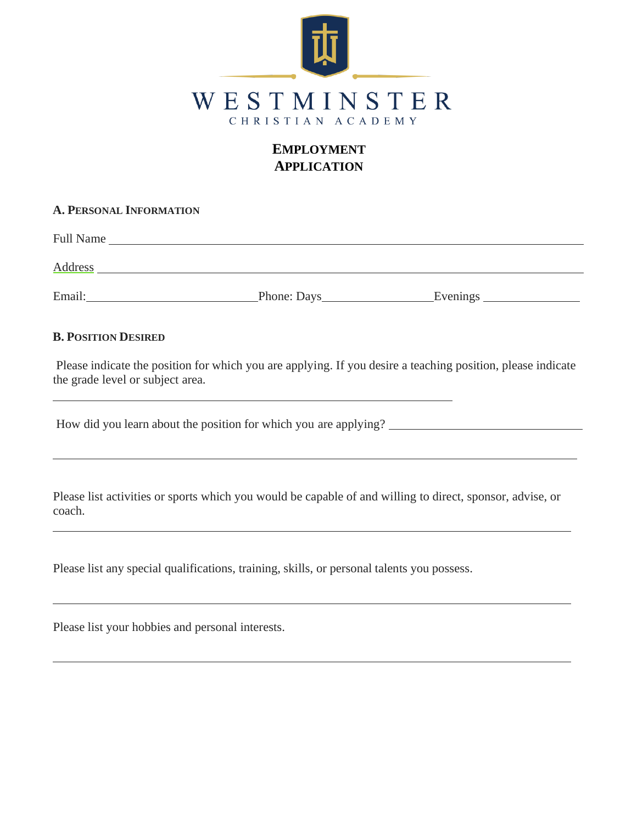

# **EMPLOYMENT APPLICATION**

| <b>A. PERSONAL INFORMATION</b>                                                 |             |          |
|--------------------------------------------------------------------------------|-------------|----------|
| <b>Full Name</b><br><u> 1980 - John Stein, Amerikaansk politiker (</u> † 1920) |             |          |
| Address                                                                        |             |          |
| Email:                                                                         | Phone: Days | Evenings |

### **B. POSITION DESIRED**

Please indicate the position for which you are applying. If you desire a teaching position, please indicate the grade level or subject area.

How did you learn about the position for which you are applying?

Please list activities or sports which you would be capable of and willing to direct, sponsor, advise, or coach.

Please list any special qualifications, training, skills, or personal talents you possess.

Please list your hobbies and personal interests.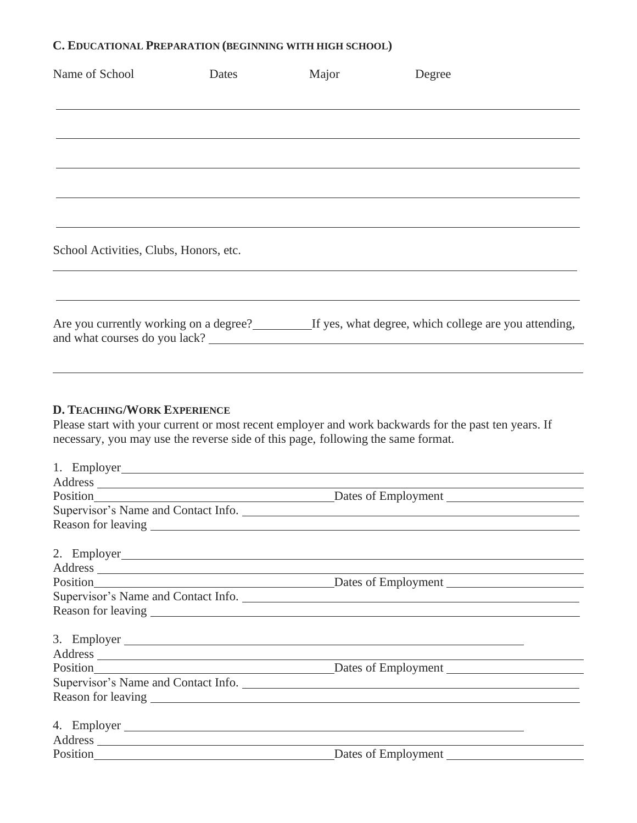# **C. EDUCATIONAL PREPARATION (BEGINNING WITH HIGH SCHOOL)**

| Name of School                                                                   | Dates | Major | Degree                                                                                               |  |
|----------------------------------------------------------------------------------|-------|-------|------------------------------------------------------------------------------------------------------|--|
|                                                                                  |       |       |                                                                                                      |  |
|                                                                                  |       |       |                                                                                                      |  |
|                                                                                  |       |       |                                                                                                      |  |
|                                                                                  |       |       |                                                                                                      |  |
|                                                                                  |       |       |                                                                                                      |  |
| School Activities, Clubs, Honors, etc.                                           |       |       |                                                                                                      |  |
|                                                                                  |       |       | Are you currently working on a degree?<br>If yes, what degree, which college are you attending,      |  |
| <b>D. TEACHING/WORK EXPERIENCE</b>                                               |       |       |                                                                                                      |  |
| necessary, you may use the reverse side of this page, following the same format. |       |       | Please start with your current or most recent employer and work backwards for the past ten years. If |  |

| 1. Employer       |                                                  |  |
|-------------------|--------------------------------------------------|--|
|                   |                                                  |  |
|                   | Position Dates of Employment Dates of Employment |  |
|                   | Supervisor's Name and Contact Info.              |  |
|                   |                                                  |  |
| 2. Employer       |                                                  |  |
|                   |                                                  |  |
|                   | Position Dates of Employment Dates of Employment |  |
|                   |                                                  |  |
|                   |                                                  |  |
| 3. Employer       |                                                  |  |
|                   |                                                  |  |
|                   | Position Dates of Employment Dates of Employment |  |
|                   | Supervisor's Name and Contact Info.              |  |
|                   |                                                  |  |
|                   |                                                  |  |
|                   |                                                  |  |
| Position Position | Dates of Employment                              |  |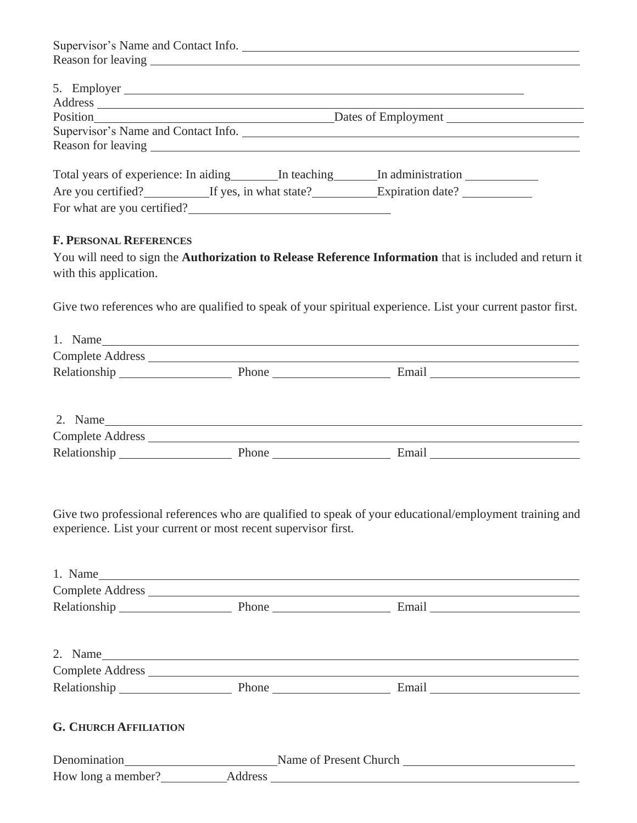|                                      | Supervisor's Name and Contact Info. |  |
|--------------------------------------|-------------------------------------|--|
|                                      |                                     |  |
| 5. Employer                          |                                     |  |
| Address                              |                                     |  |
| Position                             | Dates of Employment                 |  |
|                                      | Supervisor's Name and Contact Info. |  |
|                                      |                                     |  |
| Total years of experience: In aiding | In administration<br>In teaching    |  |

| Total years of experience. In aiding | $\mu$ way $\mu$        | - III aunimiisu auvii |
|--------------------------------------|------------------------|-----------------------|
| Are you certified?                   | If yes, in what state? | Expiration date?      |
| For what are you certified?          |                        |                       |

#### **F. PERSONAL REFERENCES**

You will need to sign the **Authorization to Release Reference Information** that is included and return it with this application.

Give two references who are qualified to speak of your spiritual experience. List your current pastor first.

|                  | <b>Phone</b> | Email and the contract of the contract of the contract of the contract of the contract of the contract of the contract of the contract of the contract of the contract of the contract of the contract of the contract of the |  |
|------------------|--------------|-------------------------------------------------------------------------------------------------------------------------------------------------------------------------------------------------------------------------------|--|
|                  |              |                                                                                                                                                                                                                               |  |
|                  |              |                                                                                                                                                                                                                               |  |
|                  | 2. Name      |                                                                                                                                                                                                                               |  |
| Complete Address |              |                                                                                                                                                                                                                               |  |

| $\mathcal{L}$   |  |  |
|-----------------|--|--|
| Re <sub>1</sub> |  |  |

Give two professional references who are qualified to speak of your educational/employment training and experience. List your current or most recent supervisor first.

| 1. Name                      |                                      |  |
|------------------------------|--------------------------------------|--|
|                              |                                      |  |
| Relationship Phone Phone     |                                      |  |
|                              |                                      |  |
| 2. Name                      |                                      |  |
|                              |                                      |  |
|                              | Relationship Phone Phone Email Email |  |
| <b>G. CHURCH AFFILIATION</b> |                                      |  |
|                              |                                      |  |
|                              |                                      |  |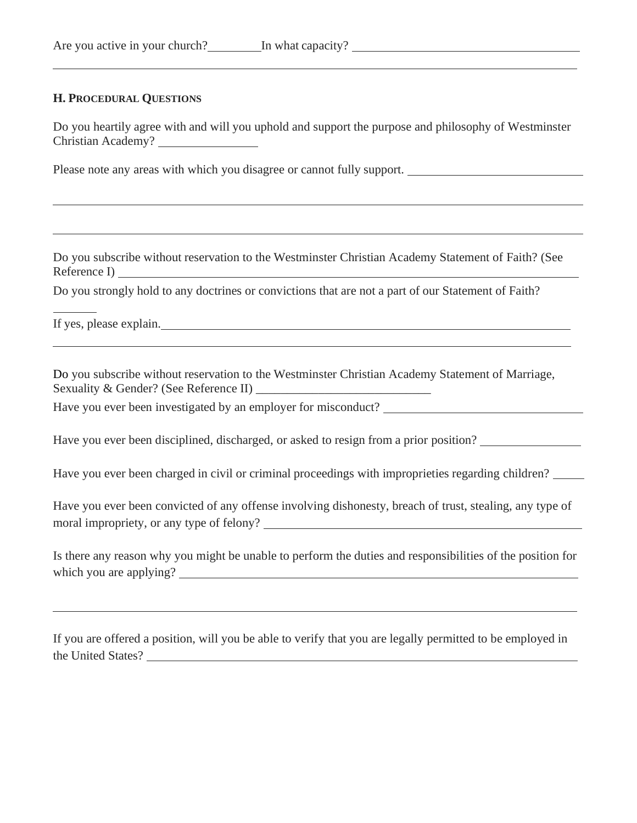#### **H. PROCEDURAL QUESTIONS**

Do you heartily agree with and will you uphold and support the purpose and philosophy of Westminster Christian Academy?

Please note any areas with which you disagree or cannot fully support.

Do you subscribe without reservation to the Westminster Christian Academy Statement of Faith? (See Reference I) and the same state of  $\Gamma$ 

Do you strongly hold to any doctrines or convictions that are not a part of our Statement of Faith?

If yes, please explain.

Do you subscribe without reservation to the Westminster Christian Academy Statement of Marriage, Sexuality & Gender? (See Reference II) \_\_\_\_\_\_\_\_\_\_\_\_\_\_\_\_\_\_\_\_\_\_\_\_\_\_\_\_

Have you ever been investigated by an employer for misconduct?

Have you ever been disciplined, discharged, or asked to resign from a prior position?

Have you ever been charged in civil or criminal proceedings with improprieties regarding children?

Have you ever been convicted of any offense involving dishonesty, breach of trust, stealing, any type of moral impropriety, or any type of felony?

Is there any reason why you might be unable to perform the duties and responsibilities of the position for which you are applying?

If you are offered a position, will you be able to verify that you are legally permitted to be employed in the United States?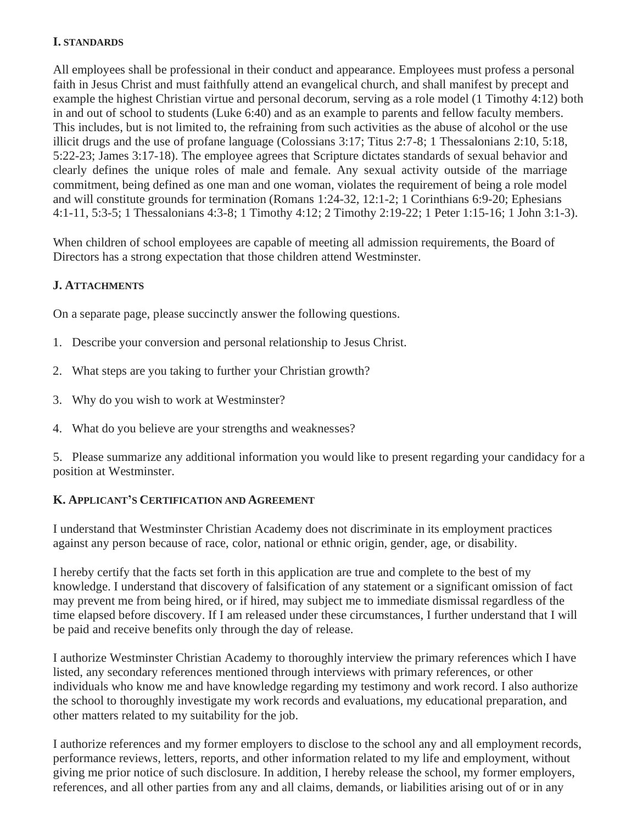## **I. STANDARDS**

All employees shall be professional in their conduct and appearance. Employees must profess a personal faith in Jesus Christ and must faithfully attend an evangelical church, and shall manifest by precept and example the highest Christian virtue and personal decorum, serving as a role model (1 Timothy 4:12) both in and out of school to students (Luke 6:40) and as an example to parents and fellow faculty members. This includes, but is not limited to, the refraining from such activities as the abuse of alcohol or the use illicit drugs and the use of profane language (Colossians 3:17; Titus 2:7-8; 1 Thessalonians 2:10, 5:18, 5:22-23; James 3:17-18). The employee agrees that Scripture dictates standards of sexual behavior and clearly defines the unique roles of male and female. Any sexual activity outside of the marriage commitment, being defined as one man and one woman, violates the requirement of being a role model and will constitute grounds for termination (Romans 1:24-32, 12:1-2; 1 Corinthians 6:9-20; Ephesians 4:1-11, 5:3-5; 1 Thessalonians 4:3-8; 1 Timothy 4:12; 2 Timothy 2:19-22; 1 Peter 1:15-16; 1 John 3:1-3).

When children of school employees are capable of meeting all admission requirements, the Board of Directors has a strong expectation that those children attend Westminster.

## **J. ATTACHMENTS**

On a separate page, please succinctly answer the following questions.

- 1. Describe your conversion and personal relationship to Jesus Christ.
- 2. What steps are you taking to further your Christian growth?
- 3. Why do you wish to work at Westminster?
- 4. What do you believe are your strengths and weaknesses?

5. Please summarize any additional information you would like to present regarding your candidacy for a position at Westminster.

# **K. APPLICANT'S CERTIFICATION AND AGREEMENT**

I understand that Westminster Christian Academy does not discriminate in its employment practices against any person because of race, color, national or ethnic origin, gender, age, or disability.

I hereby certify that the facts set forth in this application are true and complete to the best of my knowledge. I understand that discovery of falsification of any statement or a significant omission of fact may prevent me from being hired, or if hired, may subject me to immediate dismissal regardless of the time elapsed before discovery. If I am released under these circumstances, I further understand that I will be paid and receive benefits only through the day of release.

I authorize Westminster Christian Academy to thoroughly interview the primary references which I have listed, any secondary references mentioned through interviews with primary references, or other individuals who know me and have knowledge regarding my testimony and work record. I also authorize the school to thoroughly investigate my work records and evaluations, my educational preparation, and other matters related to my suitability for the job.

I authorize references and my former employers to disclose to the school any and all employment records, performance reviews, letters, reports, and other information related to my life and employment, without giving me prior notice of such disclosure. In addition, I hereby release the school, my former employers, references, and all other parties from any and all claims, demands, or liabilities arising out of or in any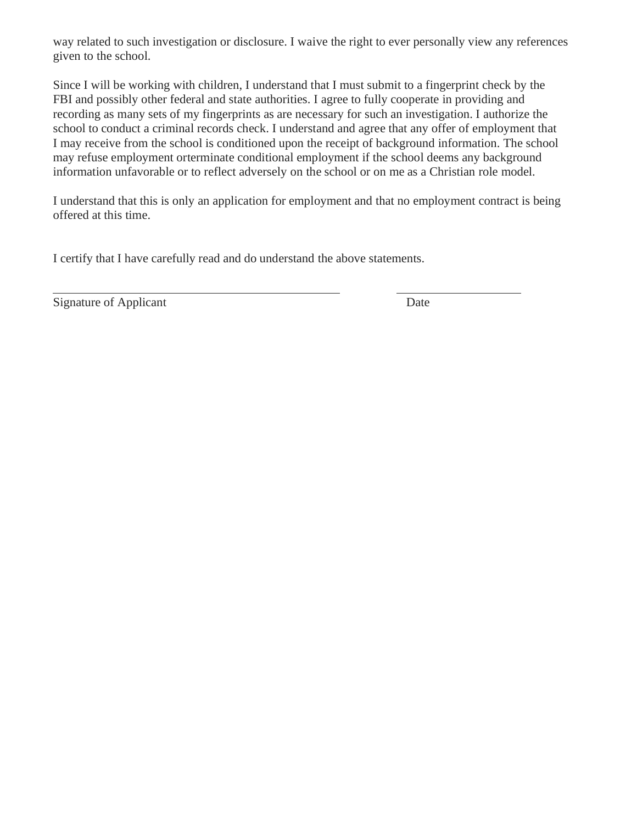way related to such investigation or disclosure. I waive the right to ever personally view any references given to the school.

Since I will be working with children, I understand that I must submit to a fingerprint check by the FBI and possibly other federal and state authorities. I agree to fully cooperate in providing and recording as many sets of my fingerprints as are necessary for such an investigation. I authorize the school to conduct a criminal records check. I understand and agree that any offer of employment that I may receive from the school is conditioned upon the receipt of background information. The school may refuse employment orterminate conditional employment if the school deems any background information unfavorable or to reflect adversely on the school or on me as a Christian role model.

I understand that this is only an application for employment and that no employment contract is being offered at this time.

I certify that I have carefully read and do understand the above statements.

Signature of Applicant Date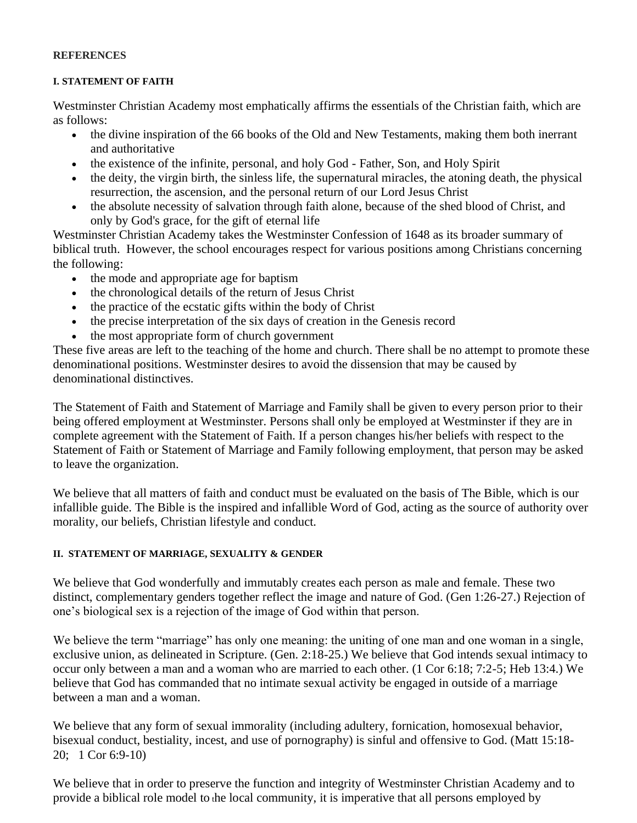#### **REFERENCES**

#### **I. STATEMENT OF FAITH**

Westminster Christian Academy most emphatically affirms the essentials of the Christian faith, which are as follows:

- the divine inspiration of the 66 books of the Old and New Testaments, making them both inerrant and authoritative
- the existence of the infinite, personal, and holy God Father, Son, and Holy Spirit
- the deity, the virgin birth, the sinless life, the supernatural miracles, the atoning death, the physical resurrection, the ascension, and the personal return of our Lord Jesus Christ
- the absolute necessity of salvation through faith alone, because of the shed blood of Christ, and only by God's grace, for the gift of eternal life

Westminster Christian Academy takes the Westminster Confession of 1648 as its broader summary of biblical truth. However, the school encourages respect for various positions among Christians concerning the following:

- the mode and appropriate age for baptism
- the chronological details of the return of Jesus Christ
- the practice of the ecstatic gifts within the body of Christ
- the precise interpretation of the six days of creation in the Genesis record
- the most appropriate form of church government

These five areas are left to the teaching of the home and church. There shall be no attempt to promote these denominational positions. Westminster desires to avoid the dissension that may be caused by denominational distinctives.

The Statement of Faith and Statement of Marriage and Family shall be given to every person prior to their being offered employment at Westminster. Persons shall only be employed at Westminster if they are in complete agreement with the Statement of Faith. If a person changes his/her beliefs with respect to the Statement of Faith or Statement of Marriage and Family following employment, that person may be asked to leave the organization.

We believe that all matters of faith and conduct must be evaluated on the basis of The Bible, which is our infallible guide. The Bible is the inspired and infallible Word of God, acting as the source of authority over morality, our beliefs, Christian lifestyle and conduct.

#### **II. STATEMENT OF MARRIAGE, SEXUALITY & GENDER**

We believe that God wonderfully and immutably creates each person as male and female. These two distinct, complementary genders together reflect the image and nature of God. (Gen 1:26-27.) Rejection of one's biological sex is a rejection of the image of God within that person.

We believe the term "marriage" has only one meaning: the uniting of one man and one woman in a single, exclusive union, as delineated in Scripture. (Gen. 2:18-25.) We believe that God intends sexual intimacy to occur only between a man and a woman who are married to each other. (1 Cor 6:18; 7:2-5; Heb 13:4.) We believe that God has commanded that no intimate sexual activity be engaged in outside of a marriage between a man and a woman.

We believe that any form of sexual immorality (including adultery, fornication, homosexual behavior, bisexual conduct, bestiality, incest, and use of pornography) is sinful and offensive to God. (Matt 15:18- 20; 1 Cor 6:9-10)

We believe that in order to preserve the function and integrity of Westminster Christian Academy and to provide a biblical role model to the local community, it is imperative that all persons employed by